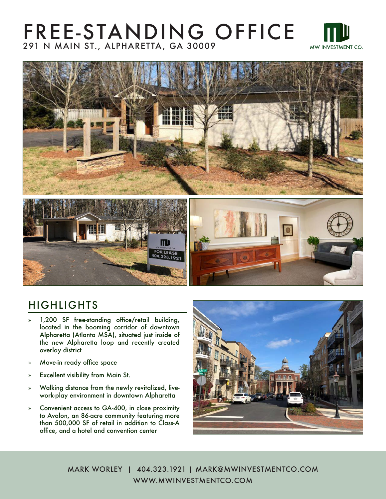## FREE-STANDING OFFICE 291 N MAIN ST., ALPHARETTA, GA 30009





#### HIGHLIGHTS

- » 1,200 SF free-standing office/retail building, located in the booming corridor of downtown Alpharetta (Atlanta MSA), situated just inside of the new Alpharetta loop and recently created overlay district
- » Move-in ready office space
- » Excellent visibility from Main St.
- » Walking distance from the newly revitalized, livework-play environment in downtown Alpharetta
- » Convenient access to GA-400, in close proximity to Avalon, an 86-acre community featuring more than 500,000 SF of retail in addition to Class-A office, and a hotel and convention center



MARK WORLEY | 404.323.1921 | MARK@MWINVESTMENTCO.COM WWW.MWINVESTMENTCO.COM